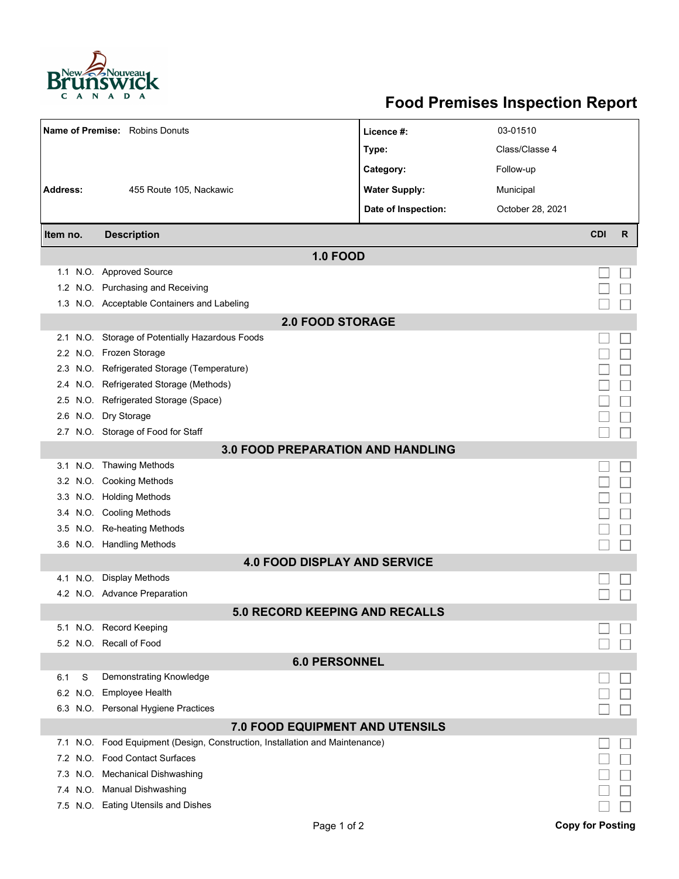

## **Food Premises Inspection Report**

| Name of Premise: Robins Donuts  |                                                                     | Licence #:           | 03-01510         |                         |   |  |  |  |
|---------------------------------|---------------------------------------------------------------------|----------------------|------------------|-------------------------|---|--|--|--|
|                                 |                                                                     | Type:                | Class/Classe 4   |                         |   |  |  |  |
|                                 |                                                                     | Category:            | Follow-up        |                         |   |  |  |  |
| <b>Address:</b>                 | 455 Route 105, Nackawic                                             | <b>Water Supply:</b> | Municipal        |                         |   |  |  |  |
|                                 |                                                                     | Date of Inspection:  | October 28, 2021 |                         |   |  |  |  |
|                                 |                                                                     |                      |                  |                         |   |  |  |  |
| Item no.                        | <b>Description</b>                                                  |                      |                  | <b>CDI</b>              | R |  |  |  |
|                                 | <b>1.0 FOOD</b>                                                     |                      |                  |                         |   |  |  |  |
|                                 | 1.1 N.O. Approved Source                                            |                      |                  |                         |   |  |  |  |
|                                 | 1.2 N.O. Purchasing and Receiving                                   |                      |                  |                         |   |  |  |  |
|                                 | 1.3 N.O. Acceptable Containers and Labeling                         |                      |                  |                         |   |  |  |  |
| <b>2.0 FOOD STORAGE</b>         |                                                                     |                      |                  |                         |   |  |  |  |
| 2.1                             | N.O. Storage of Potentially Hazardous Foods                         |                      |                  |                         |   |  |  |  |
| 2.2                             | N.O. Frozen Storage                                                 |                      |                  |                         |   |  |  |  |
|                                 | 2.3 N.O. Refrigerated Storage (Temperature)                         |                      |                  |                         |   |  |  |  |
| 2.4                             | N.O. Refrigerated Storage (Methods)                                 |                      |                  |                         |   |  |  |  |
|                                 | 2.5 N.O. Refrigerated Storage (Space)                               |                      |                  |                         |   |  |  |  |
|                                 | 2.6 N.O. Dry Storage                                                |                      |                  |                         |   |  |  |  |
|                                 | 2.7 N.O. Storage of Food for Staff                                  |                      |                  |                         |   |  |  |  |
|                                 | 3.0 FOOD PREPARATION AND HANDLING                                   |                      |                  |                         |   |  |  |  |
|                                 | 3.1 N.O. Thawing Methods                                            |                      |                  |                         |   |  |  |  |
|                                 | 3.2 N.O. Cooking Methods                                            |                      |                  |                         |   |  |  |  |
|                                 | 3.3 N.O. Holding Methods                                            |                      |                  |                         |   |  |  |  |
|                                 | 3.4 N.O. Cooling Methods                                            |                      |                  |                         |   |  |  |  |
|                                 | 3.5 N.O. Re-heating Methods                                         |                      |                  |                         |   |  |  |  |
|                                 | 3.6 N.O. Handling Methods                                           |                      |                  |                         |   |  |  |  |
|                                 | <b>4.0 FOOD DISPLAY AND SERVICE</b>                                 |                      |                  |                         |   |  |  |  |
| 4.1                             | N.O. Display Methods                                                |                      |                  |                         |   |  |  |  |
|                                 | 4.2 N.O. Advance Preparation                                        |                      |                  |                         |   |  |  |  |
|                                 | 5.0 RECORD KEEPING AND RECALLS                                      |                      |                  |                         |   |  |  |  |
|                                 | 5.1 N.O. Record Keeping                                             |                      |                  |                         |   |  |  |  |
|                                 | 5.2 N.O. Recall of Food                                             |                      |                  |                         |   |  |  |  |
| <b>6.0 PERSONNEL</b>            |                                                                     |                      |                  |                         |   |  |  |  |
| S<br>6.1                        | Demonstrating Knowledge                                             |                      |                  |                         |   |  |  |  |
| N.O.<br>6.2                     | <b>Employee Health</b>                                              |                      |                  |                         |   |  |  |  |
|                                 | 6.3 N.O. Personal Hygiene Practices                                 |                      |                  |                         |   |  |  |  |
| 7.0 FOOD EQUIPMENT AND UTENSILS |                                                                     |                      |                  |                         |   |  |  |  |
| N.O.<br>7.1                     | Food Equipment (Design, Construction, Installation and Maintenance) |                      |                  |                         |   |  |  |  |
|                                 | 7.2 N.O. Food Contact Surfaces                                      |                      |                  |                         |   |  |  |  |
|                                 | 7.3 N.O. Mechanical Dishwashing                                     |                      |                  |                         |   |  |  |  |
|                                 | 7.4 N.O. Manual Dishwashing<br>7.5 N.O. Eating Utensils and Dishes  |                      |                  |                         |   |  |  |  |
|                                 |                                                                     |                      |                  |                         |   |  |  |  |
|                                 | Page 1 of 2                                                         |                      |                  | <b>Copy for Posting</b> |   |  |  |  |